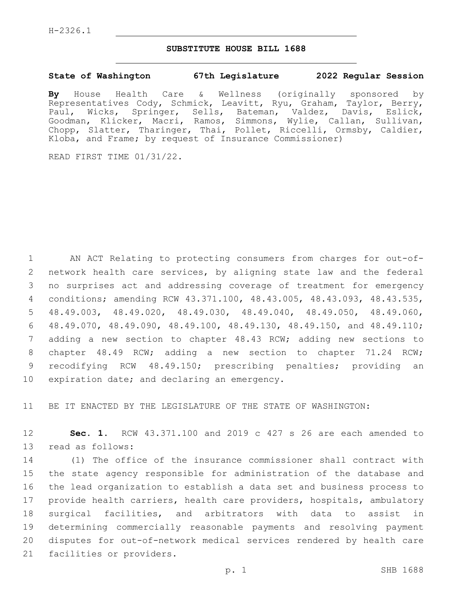## **SUBSTITUTE HOUSE BILL 1688**

## **State of Washington 67th Legislature 2022 Regular Session**

**By** House Health Care & Wellness (originally sponsored by Representatives Cody, Schmick, Leavitt, Ryu, Graham, Taylor, Berry, Paul, Wicks, Springer, Sells, Bateman, Valdez, Davis, Eslick, Goodman, Klicker, Macri, Ramos, Simmons, Wylie, Callan, Sullivan, Chopp, Slatter, Tharinger, Thai, Pollet, Riccelli, Ormsby, Caldier, Kloba, and Frame; by request of Insurance Commissioner)

READ FIRST TIME 01/31/22.

 AN ACT Relating to protecting consumers from charges for out-of- network health care services, by aligning state law and the federal no surprises act and addressing coverage of treatment for emergency conditions; amending RCW 43.371.100, 48.43.005, 48.43.093, 48.43.535, 48.49.003, 48.49.020, 48.49.030, 48.49.040, 48.49.050, 48.49.060, 48.49.070, 48.49.090, 48.49.100, 48.49.130, 48.49.150, and 48.49.110; adding a new section to chapter 48.43 RCW; adding new sections to chapter 48.49 RCW; adding a new section to chapter 71.24 RCW; recodifying RCW 48.49.150; prescribing penalties; providing an 10 expiration date; and declaring an emergency.

11 BE IT ENACTED BY THE LEGISLATURE OF THE STATE OF WASHINGTON:

12 **Sec. 1.** RCW 43.371.100 and 2019 c 427 s 26 are each amended to 13 read as follows:

 (1) The office of the insurance commissioner shall contract with the state agency responsible for administration of the database and the lead organization to establish a data set and business process to provide health carriers, health care providers, hospitals, ambulatory surgical facilities, and arbitrators with data to assist in determining commercially reasonable payments and resolving payment disputes for out-of-network medical services rendered by health care 21 facilities or providers.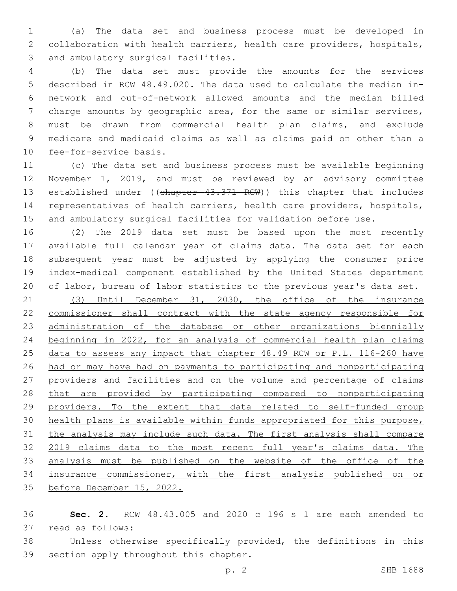(a) The data set and business process must be developed in collaboration with health carriers, health care providers, hospitals, 3 and ambulatory surgical facilities.

 (b) The data set must provide the amounts for the services described in RCW 48.49.020. The data used to calculate the median in- network and out-of-network allowed amounts and the median billed charge amounts by geographic area, for the same or similar services, must be drawn from commercial health plan claims, and exclude medicare and medicaid claims as well as claims paid on other than a 10 fee-for-service basis.

 (c) The data set and business process must be available beginning November 1, 2019, and must be reviewed by an advisory committee 13 established under ((chapter 43.371 RCW)) this chapter that includes representatives of health carriers, health care providers, hospitals, and ambulatory surgical facilities for validation before use.

 (2) The 2019 data set must be based upon the most recently available full calendar year of claims data. The data set for each subsequent year must be adjusted by applying the consumer price index-medical component established by the United States department of labor, bureau of labor statistics to the previous year's data set.

 (3) Until December 31, 2030, the office of the insurance commissioner shall contract with the state agency responsible for administration of the database or other organizations biennially beginning in 2022, for an analysis of commercial health plan claims 25 data to assess any impact that chapter 48.49 RCW or P.L. 116-260 have had or may have had on payments to participating and nonparticipating providers and facilities and on the volume and percentage of claims that are provided by participating compared to nonparticipating providers. To the extent that data related to self-funded group health plans is available within funds appropriated for this purpose, the analysis may include such data. The first analysis shall compare 2019 claims data to the most recent full year's claims data. The analysis must be published on the website of the office of the insurance commissioner, with the first analysis published on or before December 15, 2022.

 **Sec. 2.** RCW 48.43.005 and 2020 c 196 s 1 are each amended to 37 read as follows:

 Unless otherwise specifically provided, the definitions in this 39 section apply throughout this chapter.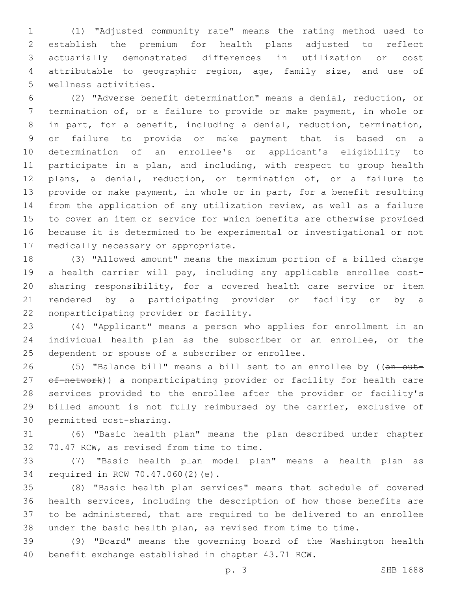(1) "Adjusted community rate" means the rating method used to establish the premium for health plans adjusted to reflect actuarially demonstrated differences in utilization or cost attributable to geographic region, age, family size, and use of 5 wellness activities.

 (2) "Adverse benefit determination" means a denial, reduction, or termination of, or a failure to provide or make payment, in whole or in part, for a benefit, including a denial, reduction, termination, or failure to provide or make payment that is based on a determination of an enrollee's or applicant's eligibility to participate in a plan, and including, with respect to group health plans, a denial, reduction, or termination of, or a failure to provide or make payment, in whole or in part, for a benefit resulting from the application of any utilization review, as well as a failure to cover an item or service for which benefits are otherwise provided because it is determined to be experimental or investigational or not 17 medically necessary or appropriate.

 (3) "Allowed amount" means the maximum portion of a billed charge a health carrier will pay, including any applicable enrollee cost- sharing responsibility, for a covered health care service or item rendered by a participating provider or facility or by a 22 nonparticipating provider or facility.

 (4) "Applicant" means a person who applies for enrollment in an individual health plan as the subscriber or an enrollee, or the 25 dependent or spouse of a subscriber or enrollee.

26 (5) "Balance bill" means a bill sent to an enrollee by ((an out-27 of-network)) a nonparticipating provider or facility for health care services provided to the enrollee after the provider or facility's billed amount is not fully reimbursed by the carrier, exclusive of 30 permitted cost-sharing.

 (6) "Basic health plan" means the plan described under chapter 32 70.47 RCW, as revised from time to time.

 (7) "Basic health plan model plan" means a health plan as 34 required in RCW 70.47.060(2)(e).

 (8) "Basic health plan services" means that schedule of covered health services, including the description of how those benefits are to be administered, that are required to be delivered to an enrollee under the basic health plan, as revised from time to time.

 (9) "Board" means the governing board of the Washington health benefit exchange established in chapter 43.71 RCW.

p. 3 SHB 1688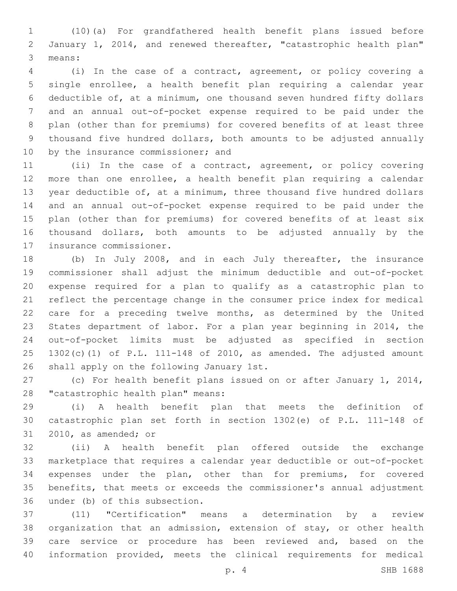(10)(a) For grandfathered health benefit plans issued before January 1, 2014, and renewed thereafter, "catastrophic health plan" 3 means:

 (i) In the case of a contract, agreement, or policy covering a single enrollee, a health benefit plan requiring a calendar year deductible of, at a minimum, one thousand seven hundred fifty dollars and an annual out-of-pocket expense required to be paid under the plan (other than for premiums) for covered benefits of at least three thousand five hundred dollars, both amounts to be adjusted annually 10 by the insurance commissioner; and

 (ii) In the case of a contract, agreement, or policy covering more than one enrollee, a health benefit plan requiring a calendar year deductible of, at a minimum, three thousand five hundred dollars and an annual out-of-pocket expense required to be paid under the plan (other than for premiums) for covered benefits of at least six thousand dollars, both amounts to be adjusted annually by the 17 insurance commissioner.

 (b) In July 2008, and in each July thereafter, the insurance commissioner shall adjust the minimum deductible and out-of-pocket expense required for a plan to qualify as a catastrophic plan to reflect the percentage change in the consumer price index for medical care for a preceding twelve months, as determined by the United States department of labor. For a plan year beginning in 2014, the out-of-pocket limits must be adjusted as specified in section 1302(c)(1) of P.L. 111-148 of 2010, as amended. The adjusted amount 26 shall apply on the following January 1st.

 (c) For health benefit plans issued on or after January 1, 2014, 28 "catastrophic health plan" means:

 (i) A health benefit plan that meets the definition of catastrophic plan set forth in section 1302(e) of P.L. 111-148 of 31 2010, as amended; or

 (ii) A health benefit plan offered outside the exchange marketplace that requires a calendar year deductible or out-of-pocket expenses under the plan, other than for premiums, for covered benefits, that meets or exceeds the commissioner's annual adjustment 36 under (b) of this subsection.

 (11) "Certification" means a determination by a review organization that an admission, extension of stay, or other health care service or procedure has been reviewed and, based on the information provided, meets the clinical requirements for medical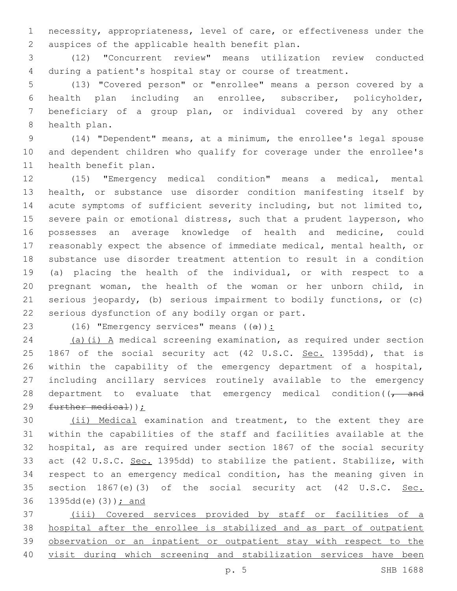necessity, appropriateness, level of care, or effectiveness under the 2 auspices of the applicable health benefit plan.

 (12) "Concurrent review" means utilization review conducted during a patient's hospital stay or course of treatment.

 (13) "Covered person" or "enrollee" means a person covered by a health plan including an enrollee, subscriber, policyholder, beneficiary of a group plan, or individual covered by any other 8 health plan.

 (14) "Dependent" means, at a minimum, the enrollee's legal spouse and dependent children who qualify for coverage under the enrollee's 11 health benefit plan.

 (15) "Emergency medical condition" means a medical, mental health, or substance use disorder condition manifesting itself by acute symptoms of sufficient severity including, but not limited to, severe pain or emotional distress, such that a prudent layperson, who possesses an average knowledge of health and medicine, could reasonably expect the absence of immediate medical, mental health, or substance use disorder treatment attention to result in a condition (a) placing the health of the individual, or with respect to a pregnant woman, the health of the woman or her unborn child, in serious jeopardy, (b) serious impairment to bodily functions, or (c) 22 serious dysfunction of any bodily organ or part.

23 (16) "Emergency services" means  $((a))$ :

 (a)(i) A medical screening examination, as required under section 25 1867 of the social security act (42 U.S.C. Sec. 1395dd), that is within the capability of the emergency department of a hospital, including ancillary services routinely available to the emergency 28 department to evaluate that emergency medical condition( $\sqrt{1 - \text{and}}$ further medical));

 (ii) Medical examination and treatment, to the extent they are within the capabilities of the staff and facilities available at the hospital, as are required under section 1867 of the social security act (42 U.S.C. Sec. 1395dd) to stabilize the patient. Stabilize, with respect to an emergency medical condition, has the meaning given in 35 section 1867(e)(3) of the social security act (42 U.S.C. Sec. 36 1395dd(e)(3)); and

 (iii) Covered services provided by staff or facilities of a hospital after the enrollee is stabilized and as part of outpatient observation or an inpatient or outpatient stay with respect to the visit during which screening and stabilization services have been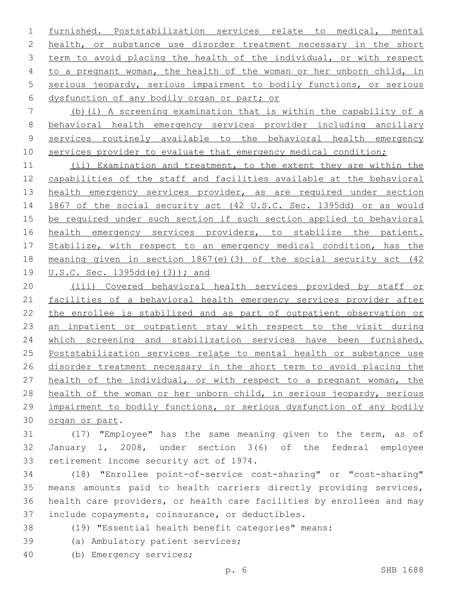furnished. Poststabilization services relate to medical, mental 2 health, or substance use disorder treatment necessary in the short 3 term to avoid placing the health of the individual, or with respect to a pregnant woman, the health of the woman or her unborn child, in serious jeopardy, serious impairment to bodily functions, or serious 6 dysfunction of any bodily organ or part; or

 (b)(i) A screening examination that is within the capability of a behavioral health emergency services provider including ancillary services routinely available to the behavioral health emergency 10 services provider to evaluate that emergency medical condition;

 (ii) Examination and treatment, to the extent they are within the capabilities of the staff and facilities available at the behavioral 13 health emergency services provider, as are required under section 1867 of the social security act (42 U.S.C. Sec. 1395dd) or as would be required under such section if such section applied to behavioral 16 health emergency services providers, to stabilize the patient. 17 Stabilize, with respect to an emergency medical condition, has the meaning given in section 1867(e)(3) of the social security act (42 U.S.C. Sec. 1395dd(e)(3)); and

 (iii) Covered behavioral health services provided by staff or facilities of a behavioral health emergency services provider after the enrollee is stabilized and as part of outpatient observation or an inpatient or outpatient stay with respect to the visit during which screening and stabilization services have been furnished. Poststabilization services relate to mental health or substance use disorder treatment necessary in the short term to avoid placing the health of the individual, or with respect to a pregnant woman, the health of the woman or her unborn child, in serious jeopardy, serious impairment to bodily functions, or serious dysfunction of any bodily 30 organ or part.

 (17) "Employee" has the same meaning given to the term, as of January 1, 2008, under section 3(6) of the federal employee 33 retirement income security act of 1974.

 (18) "Enrollee point-of-service cost-sharing" or "cost-sharing" means amounts paid to health carriers directly providing services, health care providers, or health care facilities by enrollees and may 37 include copayments, coinsurance, or deductibles.

- (19) "Essential health benefit categories" means:
- 39 (a) Ambulatory patient services;
- (b) Emergency services;40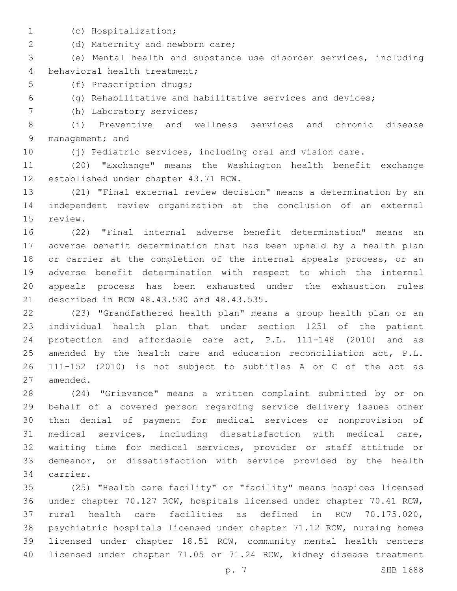- 
- (c) Hospitalization;1

2 (d) Maternity and newborn care;

 (e) Mental health and substance use disorder services, including 4 behavioral health treatment;

5 (f) Prescription drugs;

(g) Rehabilitative and habilitative services and devices;

7 (h) Laboratory services;

 (i) Preventive and wellness services and chronic disease 9 management; and

(j) Pediatric services, including oral and vision care.

 (20) "Exchange" means the Washington health benefit exchange 12 established under chapter 43.71 RCW.

 (21) "Final external review decision" means a determination by an independent review organization at the conclusion of an external 15 review.

 (22) "Final internal adverse benefit determination" means an adverse benefit determination that has been upheld by a health plan or carrier at the completion of the internal appeals process, or an adverse benefit determination with respect to which the internal appeals process has been exhausted under the exhaustion rules 21 described in RCW 48.43.530 and 48.43.535.

 (23) "Grandfathered health plan" means a group health plan or an individual health plan that under section 1251 of the patient protection and affordable care act, P.L. 111-148 (2010) and as 25 amended by the health care and education reconciliation act, P.L. 111-152 (2010) is not subject to subtitles A or C of the act as 27 amended.

 (24) "Grievance" means a written complaint submitted by or on behalf of a covered person regarding service delivery issues other than denial of payment for medical services or nonprovision of medical services, including dissatisfaction with medical care, waiting time for medical services, provider or staff attitude or demeanor, or dissatisfaction with service provided by the health 34 carrier.

 (25) "Health care facility" or "facility" means hospices licensed under chapter 70.127 RCW, hospitals licensed under chapter 70.41 RCW, rural health care facilities as defined in RCW 70.175.020, psychiatric hospitals licensed under chapter 71.12 RCW, nursing homes licensed under chapter 18.51 RCW, community mental health centers licensed under chapter 71.05 or 71.24 RCW, kidney disease treatment

p. 7 SHB 1688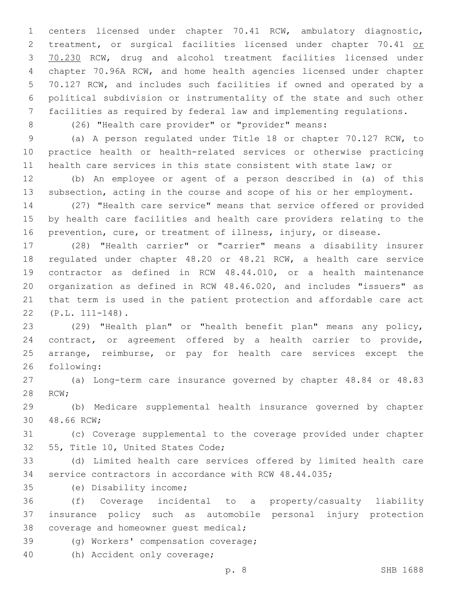centers licensed under chapter 70.41 RCW, ambulatory diagnostic, 2 treatment, or surgical facilities licensed under chapter 70.41 or 70.230 RCW, drug and alcohol treatment facilities licensed under chapter 70.96A RCW, and home health agencies licensed under chapter 70.127 RCW, and includes such facilities if owned and operated by a political subdivision or instrumentality of the state and such other facilities as required by federal law and implementing regulations.

(26) "Health care provider" or "provider" means:

 (a) A person regulated under Title 18 or chapter 70.127 RCW, to practice health or health-related services or otherwise practicing health care services in this state consistent with state law; or

 (b) An employee or agent of a person described in (a) of this subsection, acting in the course and scope of his or her employment.

 (27) "Health care service" means that service offered or provided by health care facilities and health care providers relating to the prevention, cure, or treatment of illness, injury, or disease.

 (28) "Health carrier" or "carrier" means a disability insurer regulated under chapter 48.20 or 48.21 RCW, a health care service contractor as defined in RCW 48.44.010, or a health maintenance organization as defined in RCW 48.46.020, and includes "issuers" as that term is used in the patient protection and affordable care act (P.L. 111-148).22

 (29) "Health plan" or "health benefit plan" means any policy, contract, or agreement offered by a health carrier to provide, arrange, reimburse, or pay for health care services except the 26 following:

 (a) Long-term care insurance governed by chapter 48.84 or 48.83 28 RCW;

 (b) Medicare supplemental health insurance governed by chapter 30 48.66 RCW;

 (c) Coverage supplemental to the coverage provided under chapter 32 55, Title 10, United States Code;

 (d) Limited health care services offered by limited health care service contractors in accordance with RCW 48.44.035;

(e) Disability income;35

 (f) Coverage incidental to a property/casualty liability insurance policy such as automobile personal injury protection 38 coverage and homeowner quest medical;

39 (g) Workers' compensation coverage;

40 (h) Accident only coverage;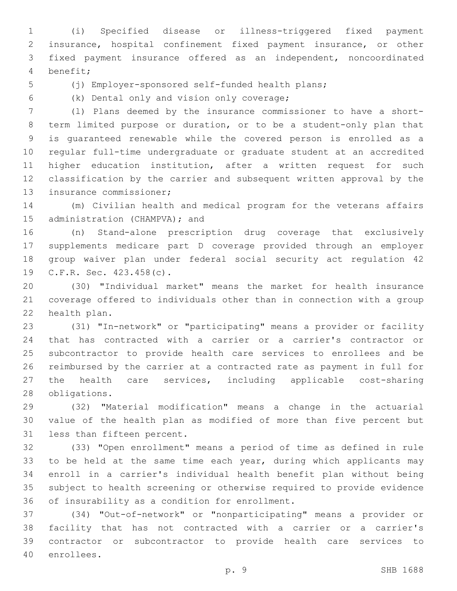(i) Specified disease or illness-triggered fixed payment insurance, hospital confinement fixed payment insurance, or other fixed payment insurance offered as an independent, noncoordinated benefit;4

(j) Employer-sponsored self-funded health plans;

(k) Dental only and vision only coverage;6

 (l) Plans deemed by the insurance commissioner to have a short- term limited purpose or duration, or to be a student-only plan that is guaranteed renewable while the covered person is enrolled as a regular full-time undergraduate or graduate student at an accredited higher education institution, after a written request for such classification by the carrier and subsequent written approval by the 13 insurance commissioner;

 (m) Civilian health and medical program for the veterans affairs 15 administration (CHAMPVA); and

 (n) Stand-alone prescription drug coverage that exclusively supplements medicare part D coverage provided through an employer group waiver plan under federal social security act regulation 42 19 C.F.R. Sec. 423.458(c).

 (30) "Individual market" means the market for health insurance coverage offered to individuals other than in connection with a group 22 health plan.

 (31) "In-network" or "participating" means a provider or facility that has contracted with a carrier or a carrier's contractor or subcontractor to provide health care services to enrollees and be reimbursed by the carrier at a contracted rate as payment in full for the health care services, including applicable cost-sharing 28 obligations.

 (32) "Material modification" means a change in the actuarial value of the health plan as modified of more than five percent but 31 less than fifteen percent.

 (33) "Open enrollment" means a period of time as defined in rule 33 to be held at the same time each year, during which applicants may enroll in a carrier's individual health benefit plan without being subject to health screening or otherwise required to provide evidence 36 of insurability as a condition for enrollment.

 (34) "Out-of-network" or "nonparticipating" means a provider or facility that has not contracted with a carrier or a carrier's contractor or subcontractor to provide health care services to 40 enrollees.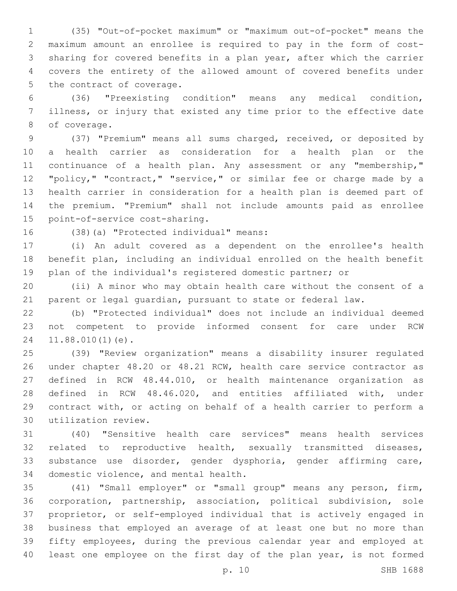(35) "Out-of-pocket maximum" or "maximum out-of-pocket" means the maximum amount an enrollee is required to pay in the form of cost- sharing for covered benefits in a plan year, after which the carrier covers the entirety of the allowed amount of covered benefits under 5 the contract of coverage.

 (36) "Preexisting condition" means any medical condition, illness, or injury that existed any time prior to the effective date 8 of coverage.

 (37) "Premium" means all sums charged, received, or deposited by a health carrier as consideration for a health plan or the 11 continuance of a health plan. Any assessment or any "membership," "policy," "contract," "service," or similar fee or charge made by a health carrier in consideration for a health plan is deemed part of the premium. "Premium" shall not include amounts paid as enrollee 15 point-of-service cost-sharing.

16 (38)(a) "Protected individual" means:

 (i) An adult covered as a dependent on the enrollee's health benefit plan, including an individual enrolled on the health benefit plan of the individual's registered domestic partner; or

 (ii) A minor who may obtain health care without the consent of a parent or legal guardian, pursuant to state or federal law.

 (b) "Protected individual" does not include an individual deemed not competent to provide informed consent for care under RCW 24 11.88.010(1)(e).

 (39) "Review organization" means a disability insurer regulated under chapter 48.20 or 48.21 RCW, health care service contractor as defined in RCW 48.44.010, or health maintenance organization as defined in RCW 48.46.020, and entities affiliated with, under contract with, or acting on behalf of a health carrier to perform a utilization review.30

 (40) "Sensitive health care services" means health services related to reproductive health, sexually transmitted diseases, substance use disorder, gender dysphoria, gender affirming care, 34 domestic violence, and mental health.

 (41) "Small employer" or "small group" means any person, firm, corporation, partnership, association, political subdivision, sole proprietor, or self-employed individual that is actively engaged in business that employed an average of at least one but no more than fifty employees, during the previous calendar year and employed at least one employee on the first day of the plan year, is not formed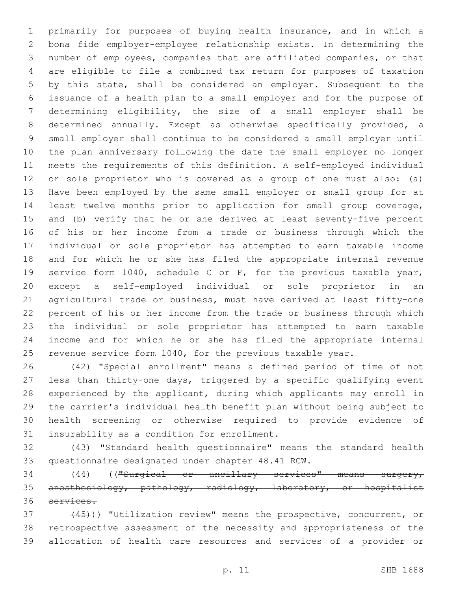primarily for purposes of buying health insurance, and in which a bona fide employer-employee relationship exists. In determining the number of employees, companies that are affiliated companies, or that are eligible to file a combined tax return for purposes of taxation by this state, shall be considered an employer. Subsequent to the issuance of a health plan to a small employer and for the purpose of determining eligibility, the size of a small employer shall be determined annually. Except as otherwise specifically provided, a small employer shall continue to be considered a small employer until the plan anniversary following the date the small employer no longer meets the requirements of this definition. A self-employed individual or sole proprietor who is covered as a group of one must also: (a) Have been employed by the same small employer or small group for at least twelve months prior to application for small group coverage, and (b) verify that he or she derived at least seventy-five percent of his or her income from a trade or business through which the individual or sole proprietor has attempted to earn taxable income and for which he or she has filed the appropriate internal revenue service form 1040, schedule C or F, for the previous taxable year, except a self-employed individual or sole proprietor in an agricultural trade or business, must have derived at least fifty-one percent of his or her income from the trade or business through which the individual or sole proprietor has attempted to earn taxable income and for which he or she has filed the appropriate internal 25 revenue service form 1040, for the previous taxable year.

 (42) "Special enrollment" means a defined period of time of not less than thirty-one days, triggered by a specific qualifying event experienced by the applicant, during which applicants may enroll in the carrier's individual health benefit plan without being subject to health screening or otherwise required to provide evidence of 31 insurability as a condition for enrollment.

 (43) "Standard health questionnaire" means the standard health 33 questionnaire designated under chapter 48.41 RCW.

 (44) (("Surgical or ancillary services" means surgery, anesthesiology, pathology, radiology, laboratory, or hospitalist services.

37 (45)) "Utilization review" means the prospective, concurrent, or retrospective assessment of the necessity and appropriateness of the allocation of health care resources and services of a provider or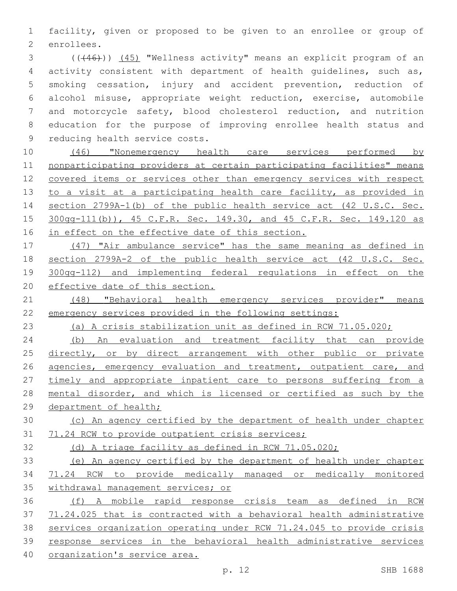facility, given or proposed to be given to an enrollee or group of 2 enrollees.

 (((46))) (45) "Wellness activity" means an explicit program of an activity consistent with department of health guidelines, such as, smoking cessation, injury and accident prevention, reduction of alcohol misuse, appropriate weight reduction, exercise, automobile and motorcycle safety, blood cholesterol reduction, and nutrition education for the purpose of improving enrollee health status and 9 reducing health service costs.

 (46) "Nonemergency health care services performed by nonparticipating providers at certain participating facilities" means covered items or services other than emergency services with respect 13 to a visit at a participating health care facility, as provided in section 2799A-1(b) of the public health service act (42 U.S.C. Sec. 300gg-111(b)), 45 C.F.R. Sec. 149.30, and 45 C.F.R. Sec. 149.120 as 16 in effect on the effective date of this section.

 (47) "Air ambulance service" has the same meaning as defined in section 2799A-2 of the public health service act (42 U.S.C. Sec. 300gg-112) and implementing federal regulations in effect on the effective date of this section.

21 (48) "Behavioral health emergency services provider" means emergency services provided in the following settings:

(a) A crisis stabilization unit as defined in RCW 71.05.020;

 (b) An evaluation and treatment facility that can provide 25 directly, or by direct arrangement with other public or private 26 agencies, emergency evaluation and treatment, outpatient care, and 27 timely and appropriate inpatient care to persons suffering from a mental disorder, and which is licensed or certified as such by the 29 department of health;

 (c) An agency certified by the department of health under chapter 71.24 RCW to provide outpatient crisis services;

(d) A triage facility as defined in RCW 71.05.020;

 (e) An agency certified by the department of health under chapter 71.24 RCW to provide medically managed or medically monitored withdrawal management services; or

 (f) A mobile rapid response crisis team as defined in RCW 71.24.025 that is contracted with a behavioral health administrative services organization operating under RCW 71.24.045 to provide crisis response services in the behavioral health administrative services organization's service area.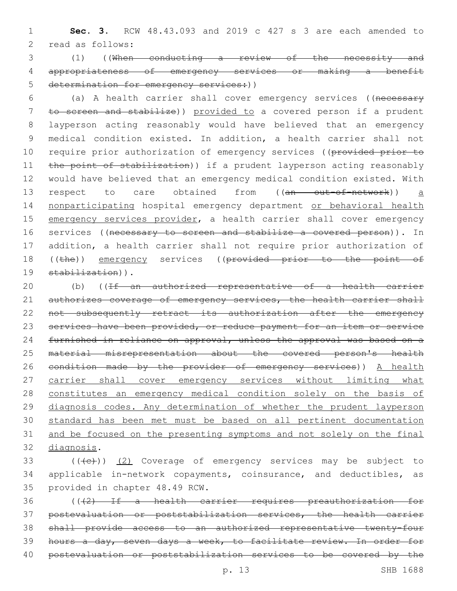1 **Sec. 3.** RCW 48.43.093 and 2019 c 427 s 3 are each amended to 2 read as follows:

3 (1) ((When conducting a review of the necessity and 4 appropriateness of emergency services or making a benefit 5 determination for emergency services: ()

6 (a) A health carrier shall cover emergency services ((necessary 7 to screen and stabilize)) provided to a covered person if a prudent 8 layperson acting reasonably would have believed that an emergency 9 medical condition existed. In addition, a health carrier shall not 10 require prior authorization of emergency services ((provided prior to 11 the point of stabilization)) if a prudent layperson acting reasonably 12 would have believed that an emergency medical condition existed. With 13 respect to care obtained from ((an out-of-network)) a 14 nonparticipating hospital emergency department or behavioral health 15 emergency services provider, a health carrier shall cover emergency 16 services ((necessary to screen and stabilize a covered person)). In 17 addition, a health carrier shall not require prior authorization of 18 ((the)) emergency services ((provided prior to the point of 19 stabilization)).

20 (b) ((If an authorized representative of a health carrier 21 authorizes coverage of emergency services, the health carrier shall 22 not subsequently retract its authorization after the emergency 23 services have been provided, or reduce payment for an item or service 24 furnished in reliance on approval, unless the approval was based on a 25 material misrepresentation about the covered person's health 26 condition made by the provider of emergency services)) A health 27 carrier shall cover emergency services without limiting what 28 constitutes an emergency medical condition solely on the basis of 29 diagnosis codes. Any determination of whether the prudent layperson 30 standard has been met must be based on all pertinent documentation 31 and be focused on the presenting symptoms and not solely on the final 32 diagnosis.

 $($  ( $($   $($   $($   $($   $))$   $($   $2)$  Coverage of emergency services may be subject to 34 applicable in-network copayments, coinsurance, and deductibles, as 35 provided in chapter 48.49 RCW.

 (((2) If a health carrier requires preauthorization for postevaluation or poststabilization services, the health carrier shall provide access to an authorized representative twenty-four hours a day, seven days a week, to facilitate review. In order for postevaluation or poststabilization services to be covered by the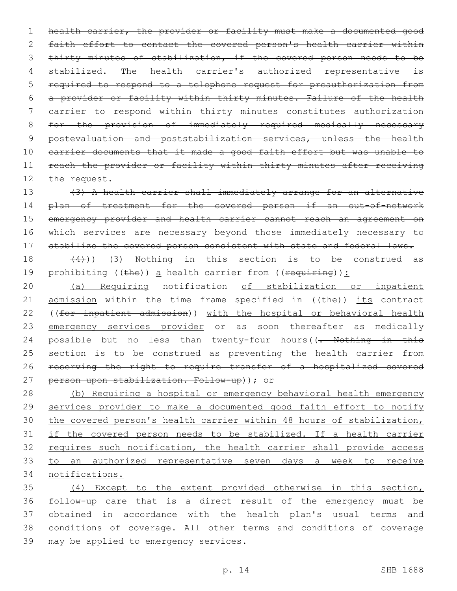1 health carrier, the provider or facility must make a documented good 2 faith effort to contact the covered person's health carrier within 3 thirty minutes of stabilization, if the covered person needs to be 4 stabilized. The health carrier's authorized representative is 5 required to respond to a telephone request for preauthorization from 6 a provider or facility within thirty minutes. Failure of the health 7 carrier to respond within thirty minutes constitutes authorization 8 for the provision of immediately required medically necessary 9 postevaluation and poststabilization services, unless the health 10 carrier documents that it made a good faith effort but was unable to 11 reach the provider or facility within thirty minutes after receiving 12 the request.

13 (3) A health carrier shall immediately arrange for an alternative 14 plan of treatment for the covered person if an out-of-network 15 emergency provider and health carrier cannot reach an agreement on 16 which services are necessary beyond those immediately necessary to 17 stabilize the covered person consistent with state and federal laws.

18  $(4)$ ))  $(3)$  Nothing in this section is to be construed as 19 prohibiting ((the)) a health carrier from (( $\frac{1}{2}$ ):

20 (a) Requiring notification of stabilization or inpatient 21  $\alpha$  admission within the time frame specified in ((the)) its contract 22 ((for inpatient admission)) with the hospital or behavioral health 23 emergency services provider or as soon thereafter as medically 24 possible but no less than twenty-four hours((- Nothing in this 25 section is to be construed as preventing the health carrier from 26 reserving the right to require transfer of a hospitalized covered 27 person upon stabilization. Follow-up)); or

 (b) Requiring a hospital or emergency behavioral health emergency 29 services provider to make a documented good faith effort to notify the covered person's health carrier within 48 hours of stabilization, if the covered person needs to be stabilized. If a health carrier 32 requires such notification, the health carrier shall provide access to an authorized representative seven days a week to receive notifications.

 (4) Except to the extent provided otherwise in this section, follow-up care that is a direct result of the emergency must be obtained in accordance with the health plan's usual terms and conditions of coverage. All other terms and conditions of coverage 39 may be applied to emergency services.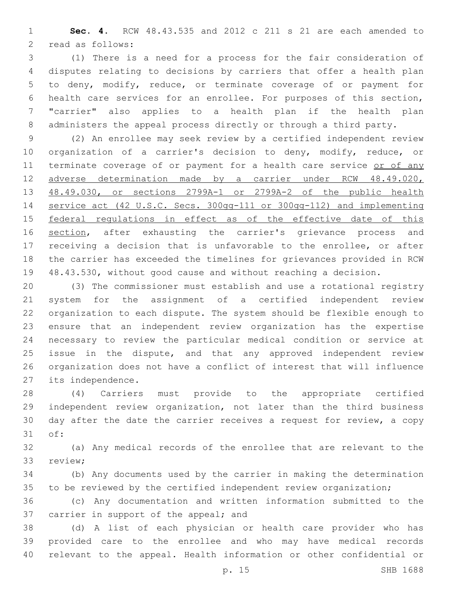**Sec. 4.** RCW 48.43.535 and 2012 c 211 s 21 are each amended to 2 read as follows:

 (1) There is a need for a process for the fair consideration of disputes relating to decisions by carriers that offer a health plan to deny, modify, reduce, or terminate coverage of or payment for health care services for an enrollee. For purposes of this section, "carrier" also applies to a health plan if the health plan administers the appeal process directly or through a third party.

 (2) An enrollee may seek review by a certified independent review organization of a carrier's decision to deny, modify, reduce, or 11 terminate coverage of or payment for a health care service or of any adverse determination made by a carrier under RCW 48.49.020, 48.49.030, or sections 2799A-1 or 2799A-2 of the public health service act (42 U.S.C. Secs. 300gg-111 or 300gg-112) and implementing 15 federal regulations in effect as of the effective date of this 16 section, after exhausting the carrier's grievance process and receiving a decision that is unfavorable to the enrollee, or after the carrier has exceeded the timelines for grievances provided in RCW 48.43.530, without good cause and without reaching a decision.

 (3) The commissioner must establish and use a rotational registry system for the assignment of a certified independent review organization to each dispute. The system should be flexible enough to ensure that an independent review organization has the expertise necessary to review the particular medical condition or service at issue in the dispute, and that any approved independent review organization does not have a conflict of interest that will influence 27 its independence.

 (4) Carriers must provide to the appropriate certified independent review organization, not later than the third business day after the date the carrier receives a request for review, a copy 31 of:

 (a) Any medical records of the enrollee that are relevant to the 33 review;

 (b) Any documents used by the carrier in making the determination to be reviewed by the certified independent review organization;

 (c) Any documentation and written information submitted to the 37 carrier in support of the appeal; and

 (d) A list of each physician or health care provider who has provided care to the enrollee and who may have medical records relevant to the appeal. Health information or other confidential or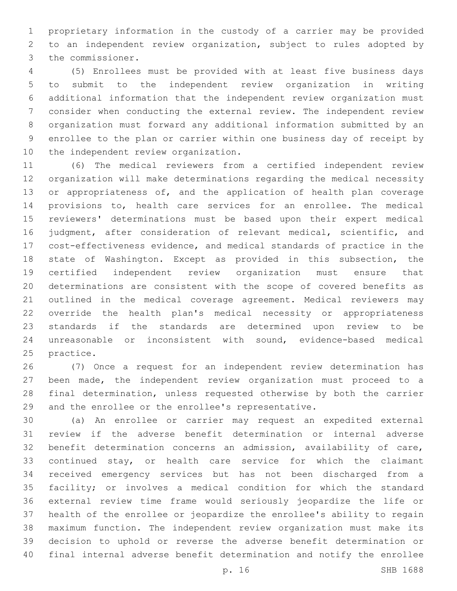proprietary information in the custody of a carrier may be provided to an independent review organization, subject to rules adopted by 3 the commissioner.

 (5) Enrollees must be provided with at least five business days to submit to the independent review organization in writing additional information that the independent review organization must consider when conducting the external review. The independent review organization must forward any additional information submitted by an enrollee to the plan or carrier within one business day of receipt by 10 the independent review organization.

 (6) The medical reviewers from a certified independent review organization will make determinations regarding the medical necessity 13 or appropriateness of, and the application of health plan coverage provisions to, health care services for an enrollee. The medical reviewers' determinations must be based upon their expert medical judgment, after consideration of relevant medical, scientific, and cost-effectiveness evidence, and medical standards of practice in the state of Washington. Except as provided in this subsection, the certified independent review organization must ensure that determinations are consistent with the scope of covered benefits as outlined in the medical coverage agreement. Medical reviewers may override the health plan's medical necessity or appropriateness standards if the standards are determined upon review to be unreasonable or inconsistent with sound, evidence-based medical 25 practice.

 (7) Once a request for an independent review determination has been made, the independent review organization must proceed to a final determination, unless requested otherwise by both the carrier and the enrollee or the enrollee's representative.

 (a) An enrollee or carrier may request an expedited external review if the adverse benefit determination or internal adverse benefit determination concerns an admission, availability of care, 33 continued stay, or health care service for which the claimant received emergency services but has not been discharged from a facility; or involves a medical condition for which the standard external review time frame would seriously jeopardize the life or health of the enrollee or jeopardize the enrollee's ability to regain maximum function. The independent review organization must make its decision to uphold or reverse the adverse benefit determination or final internal adverse benefit determination and notify the enrollee

p. 16 SHB 1688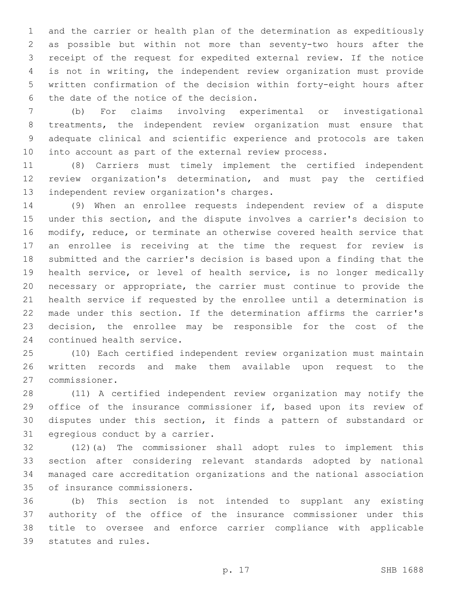and the carrier or health plan of the determination as expeditiously as possible but within not more than seventy-two hours after the receipt of the request for expedited external review. If the notice is not in writing, the independent review organization must provide written confirmation of the decision within forty-eight hours after 6 the date of the notice of the decision.

 (b) For claims involving experimental or investigational treatments, the independent review organization must ensure that adequate clinical and scientific experience and protocols are taken into account as part of the external review process.

 (8) Carriers must timely implement the certified independent review organization's determination, and must pay the certified 13 independent review organization's charges.

 (9) When an enrollee requests independent review of a dispute under this section, and the dispute involves a carrier's decision to modify, reduce, or terminate an otherwise covered health service that an enrollee is receiving at the time the request for review is submitted and the carrier's decision is based upon a finding that the health service, or level of health service, is no longer medically necessary or appropriate, the carrier must continue to provide the health service if requested by the enrollee until a determination is made under this section. If the determination affirms the carrier's decision, the enrollee may be responsible for the cost of the 24 continued health service.

 (10) Each certified independent review organization must maintain written records and make them available upon request to the commissioner.27

 (11) A certified independent review organization may notify the 29 office of the insurance commissioner if, based upon its review of disputes under this section, it finds a pattern of substandard or 31 egregious conduct by a carrier.

 (12)(a) The commissioner shall adopt rules to implement this section after considering relevant standards adopted by national managed care accreditation organizations and the national association 35 of insurance commissioners.

 (b) This section is not intended to supplant any existing authority of the office of the insurance commissioner under this title to oversee and enforce carrier compliance with applicable 39 statutes and rules.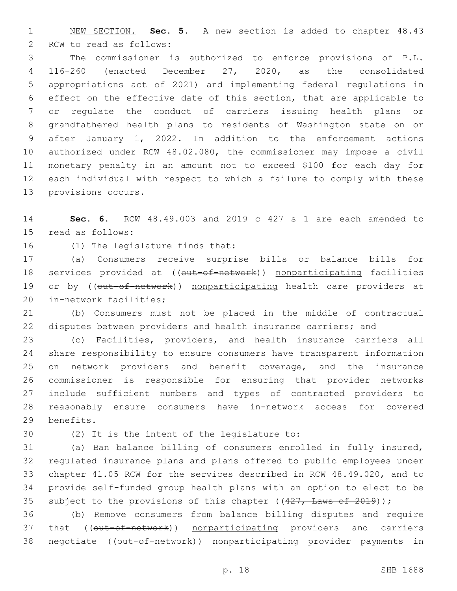NEW SECTION. **Sec. 5.** A new section is added to chapter 48.43 2 RCW to read as follows:

 The commissioner is authorized to enforce provisions of P.L. 116-260 (enacted December 27, 2020, as the consolidated appropriations act of 2021) and implementing federal regulations in effect on the effective date of this section, that are applicable to or regulate the conduct of carriers issuing health plans or grandfathered health plans to residents of Washington state on or after January 1, 2022. In addition to the enforcement actions authorized under RCW 48.02.080, the commissioner may impose a civil monetary penalty in an amount not to exceed \$100 for each day for each individual with respect to which a failure to comply with these 13 provisions occurs.

 **Sec. 6.** RCW 48.49.003 and 2019 c 427 s 1 are each amended to 15 read as follows:

16 (1) The legislature finds that:

 (a) Consumers receive surprise bills or balance bills for 18 services provided at ((out-of-network)) nonparticipating facilities 19 or by ((out-of-network)) nonparticipating health care providers at 20 in-network facilities;

 (b) Consumers must not be placed in the middle of contractual disputes between providers and health insurance carriers; and

 (c) Facilities, providers, and health insurance carriers all share responsibility to ensure consumers have transparent information on network providers and benefit coverage, and the insurance commissioner is responsible for ensuring that provider networks include sufficient numbers and types of contracted providers to reasonably ensure consumers have in-network access for covered 29 benefits.

30 (2) It is the intent of the legislature to:

 (a) Ban balance billing of consumers enrolled in fully insured, regulated insurance plans and plans offered to public employees under chapter 41.05 RCW for the services described in RCW 48.49.020, and to provide self-funded group health plans with an option to elect to be 35 subject to the provisions of this chapter  $((427, \text{ Laws of } 2019))$ ;

 (b) Remove consumers from balance billing disputes and require 37 that (( $\overline{\text{out-of-network}}$ ) nonparticipating providers and carriers 38 negotiate ((out-of-network)) nonparticipating provider payments in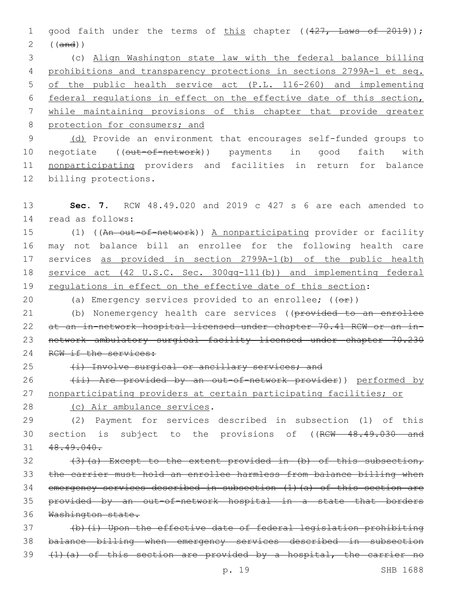1 good faith under the terms of this chapter ((427, Laws of 2019)); 2 ((and))

 (c) Align Washington state law with the federal balance billing prohibitions and transparency protections in sections 2799A-1 et seq. of the public health service act (P.L. 116-260) and implementing federal regulations in effect on the effective date of this section, while maintaining provisions of this chapter that provide greater 8 protection for consumers; and

9 (d) Provide an environment that encourages self-funded groups to 10 negotiate ((out-of-network)) payments in good faith with 11 nonparticipating providers and facilities in return for balance 12 billing protections.

13 **Sec. 7.** RCW 48.49.020 and 2019 c 427 s 6 are each amended to 14 read as follows:

15 (1) ((An out-of-network)) A nonparticipating provider or facility 16 may not balance bill an enrollee for the following health care 17 services as provided in section 2799A-1(b) of the public health 18 service act (42 U.S.C. Sec. 300gg-111(b)) and implementing federal 19 requlations in effect on the effective date of this section:

20 (a) Emergency services provided to an enrollee;  $($   $($  $\Theta$  $\mathbf{r}$  $))$ 

21 (b) Nonemergency health care services ((provided to an enrollee 22 at an in-network hospital licensed under chapter 70.41 RCW or an in-23 network ambulatory surgical facility licensed under chapter 70.230 24 RCW if the services:

25 (i) Involve surgical or ancillary services; and

26 (ii) Are provided by an out-of-network provider)) performed by 27 nonparticipating providers at certain participating facilities; or

28 (c) Air ambulance services.

29 (2) Payment for services described in subsection (1) of this 30 section is subject to the provisions of ((RCW 48.49.030 and 31 48.49.040.

32 (3)(a) Except to the extent provided in (b) of this subsection, the carrier must hold an enrollee harmless from balance billing when emergency services described in subsection (1)(a) of this section are provided by an out-of-network hospital in a state that borders Washington state.

37 (b)(i) Upon the effective date of federal legislation prohibiting 38 balance billing when emergency services described in subsection 39 (1)(a) of this section are provided by a hospital, the carrier no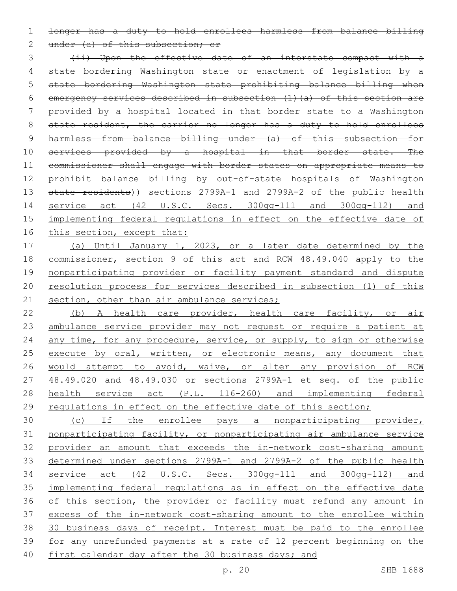1 longer has a duty to hold enrollees harmless from balance billing

2 under (a) of this subsection; or

3 (ii) Upon the effective date of an interstate compact with a 4 state bordering Washington state or enactment of legislation by a 5 state bordering Washington state prohibiting balance billing when 6 emergency services described in subsection (1)(a) of this section are 7 provided by a hospital located in that border state to a Washington 8 state resident, the carrier no longer has a duty to hold enrollees 9 harmless from balance billing under (a) of this subsection for 10 services provided by a hospital in that border state. The 11 commissioner shall engage with border states on appropriate means to 12 prohibit balance billing by out-of-state hospitals of Washington 13 state residents)) sections 2799A-1 and 2799A-2 of the public health 14 service act (42 U.S.C. Secs. 300gg-111 and 300gg-112) and 15 implementing federal regulations in effect on the effective date of 16 this section, except that:

 (a) Until January 1, 2023, or a later date determined by the commissioner, section 9 of this act and RCW 48.49.040 apply to the nonparticipating provider or facility payment standard and dispute resolution process for services described in subsection (1) of this 21 section, other than air ambulance services;

22 (b) A health care provider, health care facility, or air 23 ambulance service provider may not request or require a patient at 24 any time, for any procedure, service, or supply, to sign or otherwise 25 execute by oral, written, or electronic means, any document that 26 would attempt to avoid, waive, or alter any provision of RCW 27 48.49.020 and 48.49.030 or sections 2799A-1 et seq. of the public 28 health service act (P.L. 116-260) and implementing federal 29 regulations in effect on the effective date of this section;

 (c) If the enrollee pays a nonparticipating provider, nonparticipating facility, or nonparticipating air ambulance service provider an amount that exceeds the in-network cost-sharing amount determined under sections 2799A-1 and 2799A-2 of the public health service act (42 U.S.C. Secs. 300gg-111 and 300gg-112) and implementing federal regulations as in effect on the effective date 36 of this section, the provider or facility must refund any amount in excess of the in-network cost-sharing amount to the enrollee within 30 business days of receipt. Interest must be paid to the enrollee for any unrefunded payments at a rate of 12 percent beginning on the 40 first calendar day after the 30 business days; and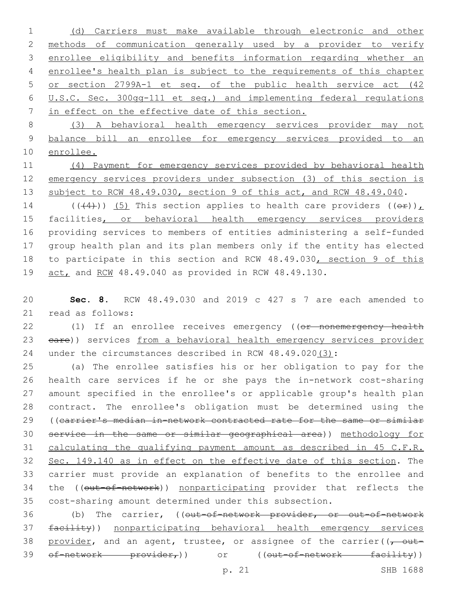(d) Carriers must make available through electronic and other methods of communication generally used by a provider to verify enrollee eligibility and benefits information regarding whether an enrollee's health plan is subject to the requirements of this chapter or section 2799A-1 et seq. of the public health service act (42 U.S.C. Sec. 300gg-111 et seq.) and implementing federal regulations in effect on the effective date of this section.

 (3) A behavioral health emergency services provider may not balance bill an enrollee for emergency services provided to an enrollee.

 (4) Payment for emergency services provided by behavioral health emergency services providers under subsection (3) of this section is 13 subject to RCW 48.49.030, section 9 of this act, and RCW 48.49.040.

14 (( $(4)$ )) (5) This section applies to health care providers ( $(e^E)$ ), 15 facilities, or behavioral health emergency services providers providing services to members of entities administering a self-funded group health plan and its plan members only if the entity has elected 18 to participate in this section and RCW 48.49.030, section 9 of this act, and RCW 48.49.040 as provided in RCW 48.49.130.

 **Sec. 8.** RCW 48.49.030 and 2019 c 427 s 7 are each amended to 21 read as follows:

22 (1) If an enrollee receives emergency ((or nonemergency health 23 eare)) services from a behavioral health emergency services provider under the circumstances described in RCW 48.49.020(3):

 (a) The enrollee satisfies his or her obligation to pay for the health care services if he or she pays the in-network cost-sharing amount specified in the enrollee's or applicable group's health plan contract. The enrollee's obligation must be determined using the ((carrier's median in-network contracted rate for the same or similar service in the same or similar geographical area)) methodology for calculating the qualifying payment amount as described in 45 C.F.R. Sec. 149.140 as in effect on the effective date of this section. The carrier must provide an explanation of benefits to the enrollee and 34 the ((out-of-network)) nonparticipating provider that reflects the cost-sharing amount determined under this subsection.

36 (b) The carrier, ((out-of-network provider, or out-of-network facility)) nonparticipating behavioral health emergency services 38 provider, and an agent, trustee, or assignee of the carrier( $(-$  out-39 of-network provider,)) or ((out-of-network facility))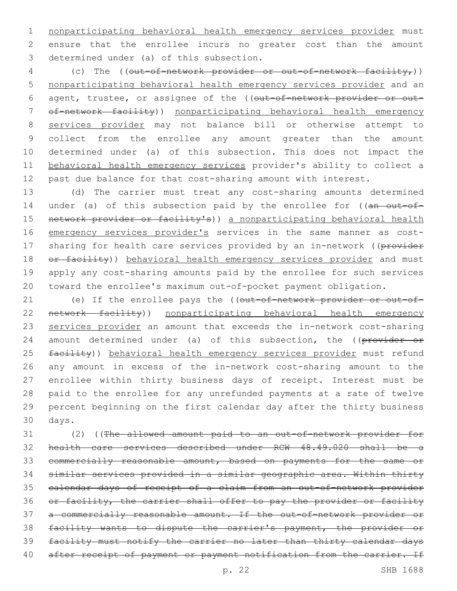nonparticipating behavioral health emergency services provider must ensure that the enrollee incurs no greater cost than the amount 3 determined under (a) of this subsection.

4 (c) The (( $out-of-network-provider or out-of-network factor)$ ) nonparticipating behavioral health emergency services provider and an 6 agent, trustee, or assignee of the ((out-of-network provider or out- of-network facility)) nonparticipating behavioral health emergency services provider may not balance bill or otherwise attempt to collect from the enrollee any amount greater than the amount determined under (a) of this subsection. This does not impact the behavioral health emergency services provider's ability to collect a past due balance for that cost-sharing amount with interest.

 (d) The carrier must treat any cost-sharing amounts determined 14 under (a) of this subsection paid by the enrollee for ((an out-of-15 network provider or facility's)) a nonparticipating behavioral health 16 emergency services provider's services in the same manner as cost-17 sharing for health care services provided by an in-network ((provider 18 or facility)) behavioral health emergency services provider and must apply any cost-sharing amounts paid by the enrollee for such services toward the enrollee's maximum out-of-pocket payment obligation.

21 (e) If the enrollee pays the ((out-of-network provider or out-of- network facility)) nonparticipating behavioral health emergency services provider an amount that exceeds the in-network cost-sharing 24 amount determined under (a) of this subsection, the ((provider or 25 facility)) behavioral health emergency services provider must refund any amount in excess of the in-network cost-sharing amount to the enrollee within thirty business days of receipt. Interest must be paid to the enrollee for any unrefunded payments at a rate of twelve percent beginning on the first calendar day after the thirty business 30 days.

 (2) ((The allowed amount paid to an out-of-network provider for health care services described under RCW 48.49.020 shall be a commercially reasonable amount, based on payments for the same or similar services provided in a similar geographic area. Within thirty calendar days of receipt of a claim from an out-of-network provider 36 or facility, the carrier shall offer to pay the provider or facility a commercially reasonable amount. If the out-of-network provider or facility wants to dispute the carrier's payment, the provider or facility must notify the carrier no later than thirty calendar days 40 after receipt of payment or payment notification from the carrier. If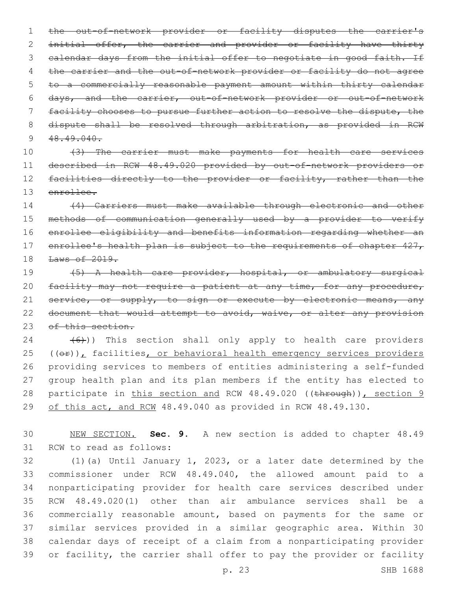the out-of-network provider or facility disputes the carrier's initial offer, the carrier and provider or facility have thirty 3 calendar days from the initial offer to negotiate in good faith. If 4 the carrier and the out-of-network provider or facility do not agree to a commercially reasonable payment amount within thirty calendar days, and the carrier, out-of-network provider or out-of-network facility chooses to pursue further action to resolve the dispute, the 8 dispute shall be resolved through arbitration, as provided in RCW  $48.49.040$ .

 (3) The carrier must make payments for health care services described in RCW 48.49.020 provided by out-of-network providers or 12 facilities directly to the provider or facility, rather than the enrollee.

 (4) Carriers must make available through electronic and other methods of communication generally used by a provider to verify enrollee eligibility and benefits information regarding whether an 17 enrollee's health plan is subject to the requirements of chapter 427, Laws of 2019.

 (5) A health care provider, hospital, or ambulatory surgical 20 facility may not require a patient at any time, for any procedure, 21 service, or supply, to sign or execute by electronic means, any 22 document that would attempt to avoid, waive, or alter any provision 23 of this section.

  $(6)$ )) This section shall only apply to health care providers  $(40)$ , facilities, or behavioral health emergency services providers providing services to members of entities administering a self-funded group health plan and its plan members if the entity has elected to 28 participate in this section and RCW 48.49.020 ((through)), section 9 29 of this act, and RCW 48.49.040 as provided in RCW 48.49.130.

 NEW SECTION. **Sec. 9.** A new section is added to chapter 48.49 31 RCW to read as follows:

 (1)(a) Until January 1, 2023, or a later date determined by the commissioner under RCW 48.49.040, the allowed amount paid to a nonparticipating provider for health care services described under RCW 48.49.020(1) other than air ambulance services shall be a commercially reasonable amount, based on payments for the same or similar services provided in a similar geographic area. Within 30 calendar days of receipt of a claim from a nonparticipating provider or facility, the carrier shall offer to pay the provider or facility

p. 23 SHB 1688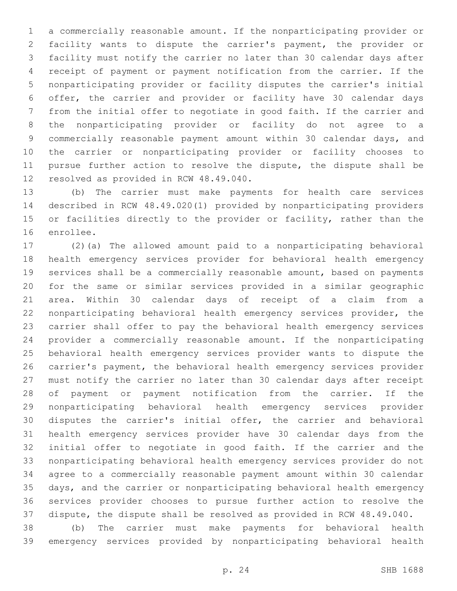a commercially reasonable amount. If the nonparticipating provider or facility wants to dispute the carrier's payment, the provider or facility must notify the carrier no later than 30 calendar days after receipt of payment or payment notification from the carrier. If the nonparticipating provider or facility disputes the carrier's initial offer, the carrier and provider or facility have 30 calendar days from the initial offer to negotiate in good faith. If the carrier and the nonparticipating provider or facility do not agree to a commercially reasonable payment amount within 30 calendar days, and the carrier or nonparticipating provider or facility chooses to pursue further action to resolve the dispute, the dispute shall be 12 resolved as provided in RCW 48.49.040.

 (b) The carrier must make payments for health care services described in RCW 48.49.020(1) provided by nonparticipating providers or facilities directly to the provider or facility, rather than the 16 enrollee.

 (2)(a) The allowed amount paid to a nonparticipating behavioral health emergency services provider for behavioral health emergency services shall be a commercially reasonable amount, based on payments for the same or similar services provided in a similar geographic area. Within 30 calendar days of receipt of a claim from a nonparticipating behavioral health emergency services provider, the carrier shall offer to pay the behavioral health emergency services provider a commercially reasonable amount. If the nonparticipating behavioral health emergency services provider wants to dispute the carrier's payment, the behavioral health emergency services provider must notify the carrier no later than 30 calendar days after receipt of payment or payment notification from the carrier. If the nonparticipating behavioral health emergency services provider disputes the carrier's initial offer, the carrier and behavioral health emergency services provider have 30 calendar days from the initial offer to negotiate in good faith. If the carrier and the nonparticipating behavioral health emergency services provider do not agree to a commercially reasonable payment amount within 30 calendar days, and the carrier or nonparticipating behavioral health emergency services provider chooses to pursue further action to resolve the dispute, the dispute shall be resolved as provided in RCW 48.49.040.

 (b) The carrier must make payments for behavioral health emergency services provided by nonparticipating behavioral health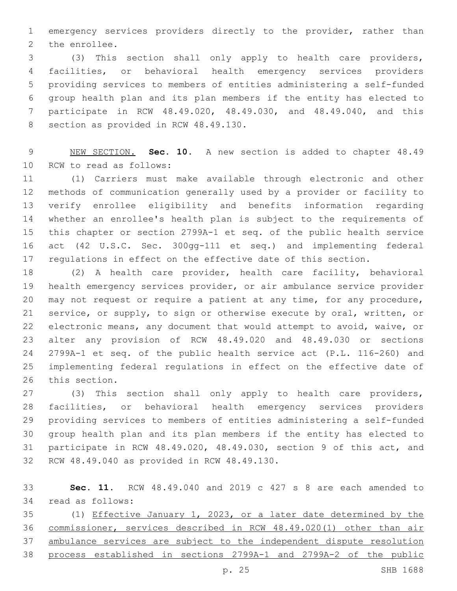emergency services providers directly to the provider, rather than 2 the enrollee.

 (3) This section shall only apply to health care providers, facilities, or behavioral health emergency services providers providing services to members of entities administering a self-funded group health plan and its plan members if the entity has elected to participate in RCW 48.49.020, 48.49.030, and 48.49.040, and this 8 section as provided in RCW 48.49.130.

 NEW SECTION. **Sec. 10.** A new section is added to chapter 48.49 10 RCW to read as follows:

 (1) Carriers must make available through electronic and other methods of communication generally used by a provider or facility to verify enrollee eligibility and benefits information regarding whether an enrollee's health plan is subject to the requirements of this chapter or section 2799A-1 et seq. of the public health service act (42 U.S.C. Sec. 300gg-111 et seq.) and implementing federal regulations in effect on the effective date of this section.

 (2) A health care provider, health care facility, behavioral health emergency services provider, or air ambulance service provider may not request or require a patient at any time, for any procedure, service, or supply, to sign or otherwise execute by oral, written, or electronic means, any document that would attempt to avoid, waive, or alter any provision of RCW 48.49.020 and 48.49.030 or sections 2799A-1 et seq. of the public health service act (P.L. 116-260) and implementing federal regulations in effect on the effective date of 26 this section.

 (3) This section shall only apply to health care providers, facilities, or behavioral health emergency services providers providing services to members of entities administering a self-funded group health plan and its plan members if the entity has elected to participate in RCW 48.49.020, 48.49.030, section 9 of this act, and 32 RCW 48.49.040 as provided in RCW 48.49.130.

 **Sec. 11.** RCW 48.49.040 and 2019 c 427 s 8 are each amended to 34 read as follows:

 (1) Effective January 1, 2023, or a later date determined by the commissioner, services described in RCW 48.49.020(1) other than air ambulance services are subject to the independent dispute resolution process established in sections 2799A-1 and 2799A-2 of the public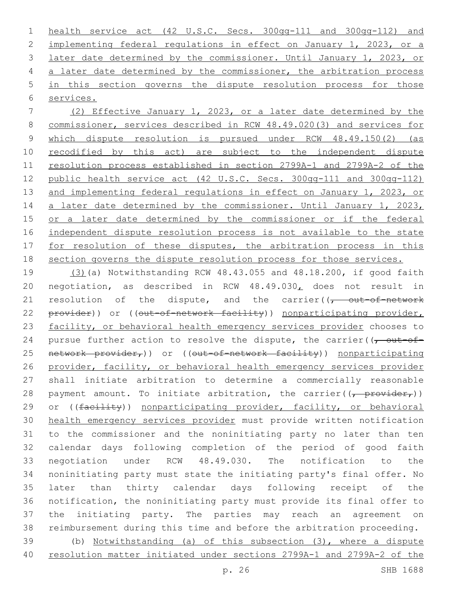health service act (42 U.S.C. Secs. 300gg-111 and 300gg-112) and implementing federal regulations in effect on January 1, 2023, or a later date determined by the commissioner. Until January 1, 2023, or a later date determined by the commissioner, the arbitration process in this section governs the dispute resolution process for those services.

 (2) Effective January 1, 2023, or a later date determined by the commissioner, services described in RCW 48.49.020(3) and services for which dispute resolution is pursued under RCW 48.49.150(2) (as 10 recodified by this act) are subject to the independent dispute resolution process established in section 2799A-1 and 2799A-2 of the public health service act (42 U.S.C. Secs. 300gg-111 and 300gg-112) and implementing federal regulations in effect on January 1, 2023, or 14 a later date determined by the commissioner. Until January 1, 2023, or a later date determined by the commissioner or if the federal independent dispute resolution process is not available to the state 17 for resolution of these disputes, the arbitration process in this section governs the dispute resolution process for those services.

 (3)(a) Notwithstanding RCW 48.43.055 and 48.18.200, if good faith negotiation, as described in RCW 48.49.030, does not result in 21 resolution of the dispute, and the carrier( $\sqrt{t}$  out-of-network 22 provider)) or ((out-of-network facility)) nonparticipating provider, 23 facility, or behavioral health emergency services provider chooses to 24 pursue further action to resolve the dispute, the carrier( $\sqrt{\overline{C}}$ 25 network provider,)) or ((out-of-network facility)) nonparticipating provider, facility, or behavioral health emergency services provider shall initiate arbitration to determine a commercially reasonable 28 payment amount. To initiate arbitration, the carrier( $\frac{1}{(r - \text{provider}_{r})}$ ) 29 or ((facility)) nonparticipating provider, facility, or behavioral health emergency services provider must provide written notification to the commissioner and the noninitiating party no later than ten calendar days following completion of the period of good faith negotiation under RCW 48.49.030. The notification to the noninitiating party must state the initiating party's final offer. No later than thirty calendar days following receipt of the notification, the noninitiating party must provide its final offer to the initiating party. The parties may reach an agreement on reimbursement during this time and before the arbitration proceeding. (b) Notwithstanding (a) of this subsection (3), where a dispute resolution matter initiated under sections 2799A-1 and 2799A-2 of the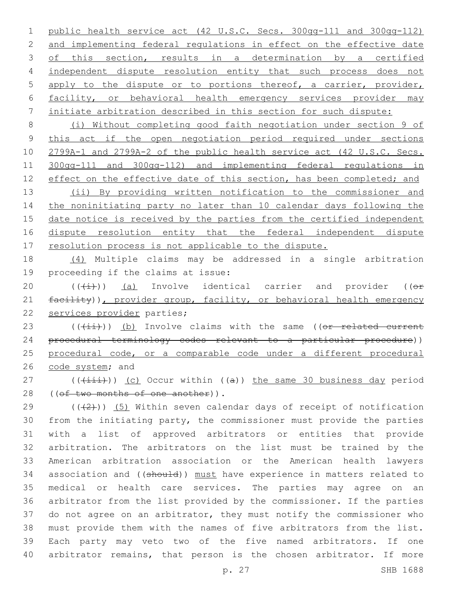public health service act (42 U.S.C. Secs. 300gg-111 and 300gg-112) and implementing federal regulations in effect on the effective date 3 of this section, results in a determination by a certified independent dispute resolution entity that such process does not apply to the dispute or to portions thereof, a carrier, provider, facility, or behavioral health emergency services provider may initiate arbitration described in this section for such dispute:

 (i) Without completing good faith negotiation under section 9 of this act if the open negotiation period required under sections 2799A-1 and 2799A-2 of the public health service act (42 U.S.C. Secs. 300gg-111 and 300gg-112) and implementing federal regulations in 12 effect on the effective date of this section, has been completed; and

 (ii) By providing written notification to the commissioner and the noninitiating party no later than 10 calendar days following the 15 date notice is received by the parties from the certified independent dispute resolution entity that the federal independent dispute 17 resolution process is not applicable to the dispute.

 (4) Multiple claims may be addressed in a single arbitration 19 proceeding if the claims at issue:

20  $((\text{(+i)})$  (a) Involve identical carrier and provider (( $\Theta$ f) 21 facility)), provider group, facility, or behavioral health emergency 22 services provider parties;

23 (((ii))) (b) Involve claims with the same ((or related current procedural terminology codes relevant to a particular procedure)) procedural code, or a comparable code under a different procedural 26 code system; and

27 ( $(\overrightarrow{+i})$ ) (c) Occur within ((a)) the same 30 business day period 28 ((of two months of one another)).

 (( $(2)$ )) (5) Within seven calendar days of receipt of notification from the initiating party, the commissioner must provide the parties with a list of approved arbitrators or entities that provide arbitration. The arbitrators on the list must be trained by the American arbitration association or the American health lawyers 34 association and ((should)) must have experience in matters related to medical or health care services. The parties may agree on an arbitrator from the list provided by the commissioner. If the parties do not agree on an arbitrator, they must notify the commissioner who must provide them with the names of five arbitrators from the list. Each party may veto two of the five named arbitrators. If one arbitrator remains, that person is the chosen arbitrator. If more

p. 27 SHB 1688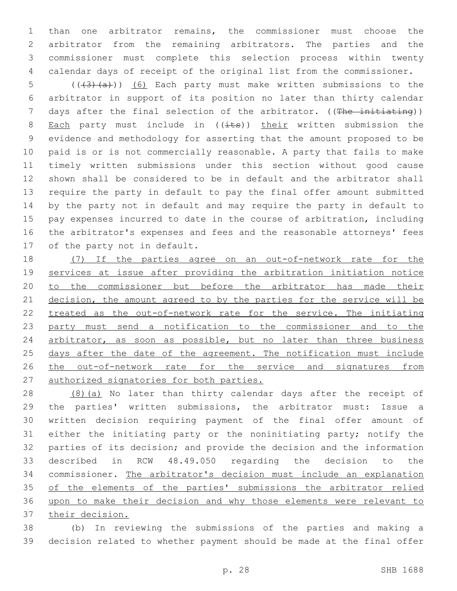than one arbitrator remains, the commissioner must choose the arbitrator from the remaining arbitrators. The parties and the commissioner must complete this selection process within twenty calendar days of receipt of the original list from the commissioner.

5 (( $(3)$   $(a)$ )) (6) Each party must make written submissions to the arbitrator in support of its position no later than thirty calendar 7 days after the final selection of the arbitrator. ((The initiating)) 8 Each party must include in  $((i$ ts)) their written submission the evidence and methodology for asserting that the amount proposed to be paid is or is not commercially reasonable. A party that fails to make timely written submissions under this section without good cause shown shall be considered to be in default and the arbitrator shall require the party in default to pay the final offer amount submitted by the party not in default and may require the party in default to pay expenses incurred to date in the course of arbitration, including the arbitrator's expenses and fees and the reasonable attorneys' fees 17 of the party not in default.

18 (7) If the parties agree on an out-of-network rate for the services at issue after providing the arbitration initiation notice 20 to the commissioner but before the arbitrator has made their 21 decision, the amount agreed to by the parties for the service will be treated as the out-of-network rate for the service. The initiating party must send a notification to the commissioner and to the 24 arbitrator, as soon as possible, but no later than three business 25 days after the date of the agreement. The notification must include 26 the out-of-network rate for the service and signatures from authorized signatories for both parties.

28 (8)(a) No later than thirty calendar days after the receipt of the parties' written submissions, the arbitrator must: Issue a written decision requiring payment of the final offer amount of either the initiating party or the noninitiating party; notify the parties of its decision; and provide the decision and the information described in RCW 48.49.050 regarding the decision to the commissioner. The arbitrator's decision must include an explanation 35 of the elements of the parties' submissions the arbitrator relied upon to make their decision and why those elements were relevant to their decision.

 (b) In reviewing the submissions of the parties and making a decision related to whether payment should be made at the final offer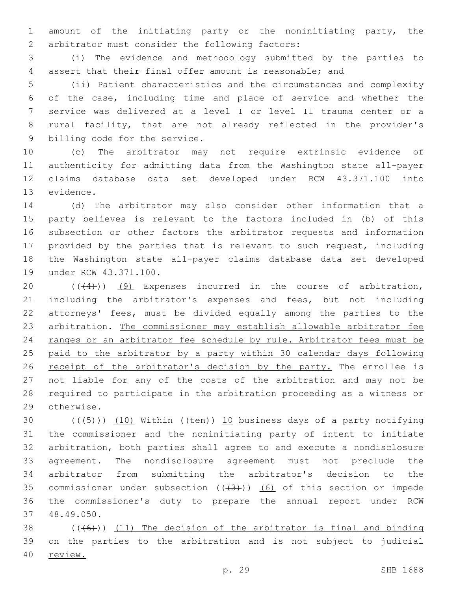amount of the initiating party or the noninitiating party, the 2 arbitrator must consider the following factors:

 (i) The evidence and methodology submitted by the parties to assert that their final offer amount is reasonable; and

 (ii) Patient characteristics and the circumstances and complexity of the case, including time and place of service and whether the service was delivered at a level I or level II trauma center or a rural facility, that are not already reflected in the provider's 9 billing code for the service.

 (c) The arbitrator may not require extrinsic evidence of authenticity for admitting data from the Washington state all-payer claims database data set developed under RCW 43.371.100 into 13 evidence.

 (d) The arbitrator may also consider other information that a party believes is relevant to the factors included in (b) of this subsection or other factors the arbitrator requests and information provided by the parties that is relevant to such request, including the Washington state all-payer claims database data set developed 19 under RCW 43.371.100.

 $((+4))$   $(9)$  Expenses incurred in the course of arbitration, including the arbitrator's expenses and fees, but not including attorneys' fees, must be divided equally among the parties to the arbitration. The commissioner may establish allowable arbitrator fee 24 ranges or an arbitrator fee schedule by rule. Arbitrator fees must be paid to the arbitrator by a party within 30 calendar days following 26 receipt of the arbitrator's decision by the party. The enrollee is not liable for any of the costs of the arbitration and may not be required to participate in the arbitration proceeding as a witness or 29 otherwise.

 $((+5+))$   $(10)$  Within ((ten)) 10 business days of a party notifying the commissioner and the noninitiating party of intent to initiate arbitration, both parties shall agree to and execute a nondisclosure agreement. The nondisclosure agreement must not preclude the arbitrator from submitting the arbitrator's decision to the 35 commissioner under subsection  $((+3))$   $(6)$  of this section or impede the commissioner's duty to prepare the annual report under RCW 48.49.050.37

38  $((+6))$   $(11)$  The decision of the arbitrator is final and binding on the parties to the arbitration and is not subject to judicial review.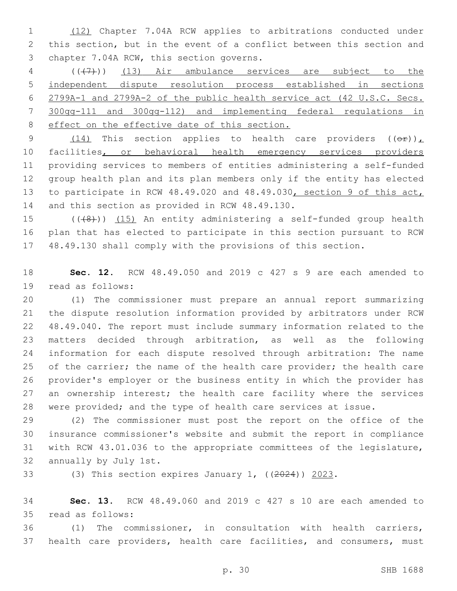(12) Chapter 7.04A RCW applies to arbitrations conducted under this section, but in the event of a conflict between this section and 3 chapter 7.04A RCW, this section governs.

 (((7))) (13) Air ambulance services are subject to the independent dispute resolution process established in sections 2799A-1 and 2799A-2 of the public health service act (42 U.S.C. Secs. 300gg-111 and 300gg-112) and implementing federal regulations in 8 effect on the effective date of this section.

9 (14) This section applies to health care providers  $((\theta \cdot \hat{r}))_L$  facilities, or behavioral health emergency services providers providing services to members of entities administering a self-funded group health plan and its plan members only if the entity has elected to participate in RCW 48.49.020 and 48.49.030, section 9 of this act, 14 and this section as provided in RCW 48.49.130.

15  $((+8+))$   $(15)$  An entity administering a self-funded group health plan that has elected to participate in this section pursuant to RCW 48.49.130 shall comply with the provisions of this section.

 **Sec. 12.** RCW 48.49.050 and 2019 c 427 s 9 are each amended to 19 read as follows:

 (1) The commissioner must prepare an annual report summarizing the dispute resolution information provided by arbitrators under RCW 48.49.040. The report must include summary information related to the matters decided through arbitration, as well as the following information for each dispute resolved through arbitration: The name 25 of the carrier; the name of the health care provider; the health care provider's employer or the business entity in which the provider has 27 an ownership interest; the health care facility where the services were provided; and the type of health care services at issue.

 (2) The commissioner must post the report on the office of the insurance commissioner's website and submit the report in compliance with RCW 43.01.036 to the appropriate committees of the legislature, 32 annually by July 1st.

33 (3) This section expires January 1, ((2024)) 2023.

 **Sec. 13.** RCW 48.49.060 and 2019 c 427 s 10 are each amended to read as follows:35

 (1) The commissioner, in consultation with health carriers, health care providers, health care facilities, and consumers, must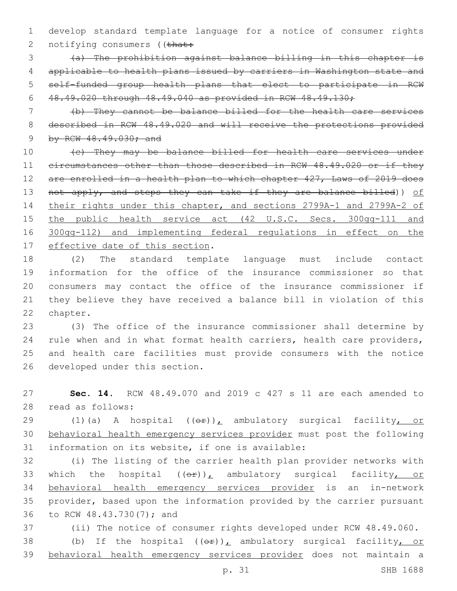1 develop standard template language for a notice of consumer rights 2 notifying consumers ((that:

 (a) The prohibition against balance billing in this chapter is applicable to health plans issued by carriers in Washington state and self-funded group health plans that elect to participate in RCW 48.49.020 through 48.49.040 as provided in RCW 48.49.130;

7 (b) They cannot be balance billed for the health care services 8 described in RCW 48.49.020 and will receive the protections provided 9 by RCW 48.49.030; and

10 (c) They may be balance billed for health care services under 11 circumstances other than those described in RCW 48.49.020 or if they 12 are enrolled in a health plan to which chapter 427, Laws of 2019 does 13 not apply, and steps they can take if they are balance billed)) of 14 their rights under this chapter, and sections 2799A-1 and 2799A-2 of 15 the public health service act (42 U.S.C. Secs. 300gg-111 and 16 300gg-112) and implementing federal regulations in effect on the 17 effective date of this section.

 (2) The standard template language must include contact information for the office of the insurance commissioner so that consumers may contact the office of the insurance commissioner if they believe they have received a balance bill in violation of this 22 chapter.

 (3) The office of the insurance commissioner shall determine by rule when and in what format health carriers, health care providers, and health care facilities must provide consumers with the notice 26 developed under this section.

27 **Sec. 14.** RCW 48.49.070 and 2019 c 427 s 11 are each amended to 28 read as follows:

29 (1)(a) A hospital ((or)), ambulatory surgical facility, or 30 behavioral health emergency services provider must post the following 31 information on its website, if one is available:

32 (i) The listing of the carrier health plan provider networks with 33 which the hospital  $(\theta \hat{r})_L$  ambulatory surgical facility, or 34 behavioral health emergency services provider is an in-network 35 provider, based upon the information provided by the carrier pursuant 36 to RCW 48.43.730(7); and

37 (ii) The notice of consumer rights developed under RCW 48.49.060. 38 (b) If the hospital  $((eF))^L$  ambulatory surgical facility, or 39 behavioral health emergency services provider does not maintain a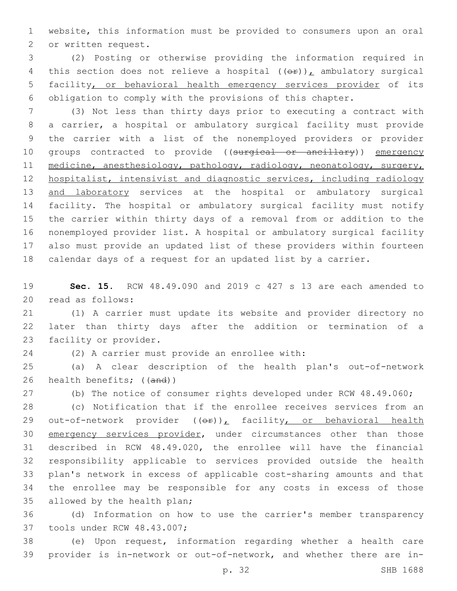website, this information must be provided to consumers upon an oral 2 or written request.

 (2) Posting or otherwise providing the information required in 4 this section does not relieve a hospital  $((\theta \cdot \mathbf{r}))$ , ambulatory surgical facility, or behavioral health emergency services provider of its obligation to comply with the provisions of this chapter.

 (3) Not less than thirty days prior to executing a contract with a carrier, a hospital or ambulatory surgical facility must provide the carrier with a list of the nonemployed providers or provider 10 groups contracted to provide ((surgical or ancillary)) emergency 11 medicine, anesthesiology, pathology, radiology, neonatology, surgery, hospitalist, intensivist and diagnostic services, including radiology 13 and laboratory services at the hospital or ambulatory surgical facility. The hospital or ambulatory surgical facility must notify the carrier within thirty days of a removal from or addition to the nonemployed provider list. A hospital or ambulatory surgical facility also must provide an updated list of these providers within fourteen calendar days of a request for an updated list by a carrier.

 **Sec. 15.** RCW 48.49.090 and 2019 c 427 s 13 are each amended to 20 read as follows:

 (1) A carrier must update its website and provider directory no later than thirty days after the addition or termination of a 23 facility or provider.

24 (2) A carrier must provide an enrollee with:

 (a) A clear description of the health plan's out-of-network health benefits; ((and))

(b) The notice of consumer rights developed under RCW 48.49.060;

 (c) Notification that if the enrollee receives services from an 29 out-of-network provider ((or)), facility, or behavioral health 30 emergency services provider, under circumstances other than those described in RCW 48.49.020, the enrollee will have the financial responsibility applicable to services provided outside the health plan's network in excess of applicable cost-sharing amounts and that the enrollee may be responsible for any costs in excess of those 35 allowed by the health plan;

 (d) Information on how to use the carrier's member transparency 37 tools under RCW 48.43.007;

 (e) Upon request, information regarding whether a health care provider is in-network or out-of-network, and whether there are in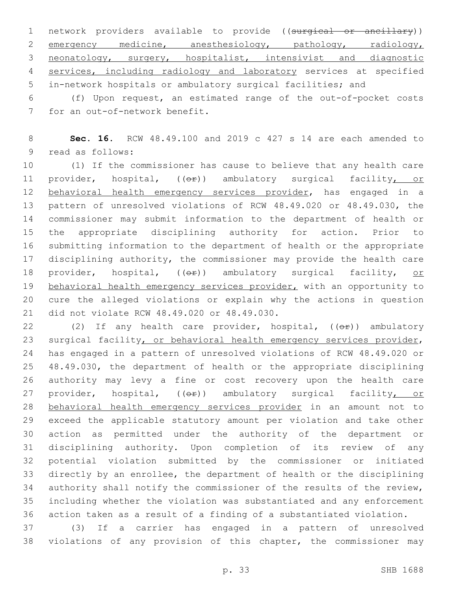1 network providers available to provide ((surgical or ancillary)) 2 emergency medicine, anesthesiology, pathology, radiology, neonatology, surgery, hospitalist, intensivist and diagnostic services, including radiology and laboratory services at specified in-network hospitals or ambulatory surgical facilities; and

 (f) Upon request, an estimated range of the out-of-pocket costs 7 for an out-of-network benefit.

 **Sec. 16.** RCW 48.49.100 and 2019 c 427 s 14 are each amended to 9 read as follows:

 (1) If the commissioner has cause to believe that any health care 11 provider, hospital, (( $\Theta$ )) ambulatory surgical facility, or 12 behavioral health emergency services provider, has engaged in a pattern of unresolved violations of RCW 48.49.020 or 48.49.030, the commissioner may submit information to the department of health or the appropriate disciplining authority for action. Prior to submitting information to the department of health or the appropriate 17 disciplining authority, the commissioner may provide the health care 18 provider, hospital,  $(0 + e)$ ) ambulatory surgical facility, or 19 behavioral health emergency services provider, with an opportunity to cure the alleged violations or explain why the actions in question 21 did not violate RCW 48.49.020 or 48.49.030.

22 (2) If any health care provider, hospital, ((or)) ambulatory 23 surgical facility, or behavioral health emergency services provider, has engaged in a pattern of unresolved violations of RCW 48.49.020 or 48.49.030, the department of health or the appropriate disciplining authority may levy a fine or cost recovery upon the health care 27 provider, hospital, ((OP)) ambulatory surgical facility, or behavioral health emergency services provider in an amount not to exceed the applicable statutory amount per violation and take other action as permitted under the authority of the department or disciplining authority. Upon completion of its review of any potential violation submitted by the commissioner or initiated directly by an enrollee, the department of health or the disciplining authority shall notify the commissioner of the results of the review, including whether the violation was substantiated and any enforcement action taken as a result of a finding of a substantiated violation.

 (3) If a carrier has engaged in a pattern of unresolved violations of any provision of this chapter, the commissioner may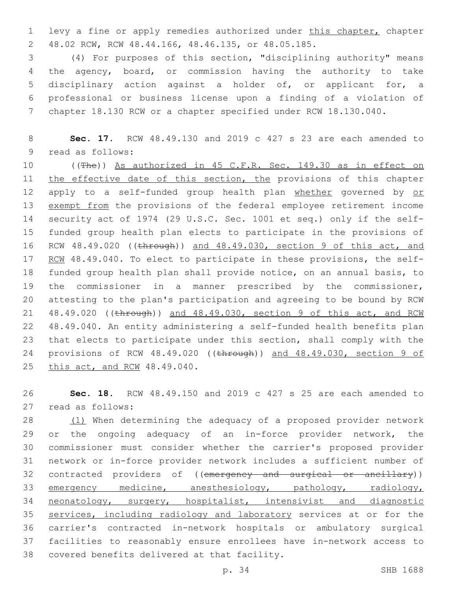1 levy a fine or apply remedies authorized under this chapter, chapter 48.02 RCW, RCW 48.44.166, 48.46.135, or 48.05.185.2

 (4) For purposes of this section, "disciplining authority" means the agency, board, or commission having the authority to take disciplinary action against a holder of, or applicant for, a professional or business license upon a finding of a violation of chapter 18.130 RCW or a chapter specified under RCW 18.130.040.

8 **Sec. 17.** RCW 48.49.130 and 2019 c 427 s 23 are each amended to 9 read as follows:

10 ((The)) As authorized in 45 C.F.R. Sec. 149.30 as in effect on 11 the effective date of this section, the provisions of this chapter 12 apply to a self-funded group health plan whether governed by or 13 exempt from the provisions of the federal employee retirement income 14 security act of 1974 (29 U.S.C. Sec. 1001 et seq.) only if the self-15 funded group health plan elects to participate in the provisions of 16 RCW 48.49.020 ((through)) and 48.49.030, section 9 of this act, and 17 RCM 48.49.040. To elect to participate in these provisions, the self-18 funded group health plan shall provide notice, on an annual basis, to 19 the commissioner in a manner prescribed by the commissioner, 20 attesting to the plan's participation and agreeing to be bound by RCW 21 48.49.020 ((through)) and 48.49.030, section 9 of this act, and RCW 22 48.49.040. An entity administering a self-funded health benefits plan 23 that elects to participate under this section, shall comply with the 24 provisions of RCW 48.49.020 ((through)) and 48.49.030, section 9 of 25 this act, and RCW 48.49.040.

26 **Sec. 18.** RCW 48.49.150 and 2019 c 427 s 25 are each amended to read as follows:27

28 (1) When determining the adequacy of a proposed provider network or the ongoing adequacy of an in-force provider network, the commissioner must consider whether the carrier's proposed provider network or in-force provider network includes a sufficient number of 32 contracted providers of ((emergency and surgical or ancillary)) 33 emergency medicine, anesthesiology, pathology, radiology, neonatology, surgery, hospitalist, intensivist and diagnostic services, including radiology and laboratory services at or for the carrier's contracted in-network hospitals or ambulatory surgical facilities to reasonably ensure enrollees have in-network access to 38 covered benefits delivered at that facility.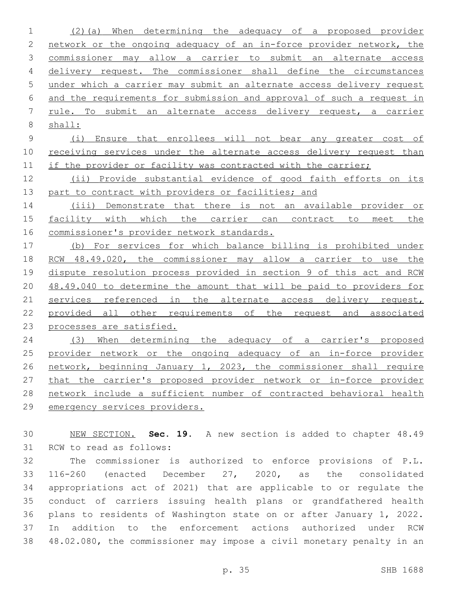(2)(a) When determining the adequacy of a proposed provider network or the ongoing adequacy of an in-force provider network, the commissioner may allow a carrier to submit an alternate access 4 delivery request. The commissioner shall define the circumstances under which a carrier may submit an alternate access delivery request and the requirements for submission and approval of such a request in rule. To submit an alternate access delivery request, a carrier shall:

 (i) Ensure that enrollees will not bear any greater cost of 10 receiving services under the alternate access delivery request than 11 if the provider or facility was contracted with the carrier;

 (ii) Provide substantial evidence of good faith efforts on its 13 part to contract with providers or facilities; and

 (iii) Demonstrate that there is not an available provider or 15 facility with which the carrier can contract to meet the commissioner's provider network standards.

 (b) For services for which balance billing is prohibited under RCW 48.49.020, the commissioner may allow a carrier to use the dispute resolution process provided in section 9 of this act and RCW 48.49.040 to determine the amount that will be paid to providers for 21 services referenced in the alternate access delivery request, provided all other requirements of the request and associated processes are satisfied.

 (3) When determining the adequacy of a carrier's proposed provider network or the ongoing adequacy of an in-force provider network, beginning January 1, 2023, the commissioner shall require that the carrier's proposed provider network or in-force provider network include a sufficient number of contracted behavioral health emergency services providers.

 NEW SECTION. **Sec. 19.** A new section is added to chapter 48.49 31 RCW to read as follows:

 The commissioner is authorized to enforce provisions of P.L. 116-260 (enacted December 27, 2020, as the consolidated appropriations act of 2021) that are applicable to or regulate the conduct of carriers issuing health plans or grandfathered health plans to residents of Washington state on or after January 1, 2022. In addition to the enforcement actions authorized under RCW 48.02.080, the commissioner may impose a civil monetary penalty in an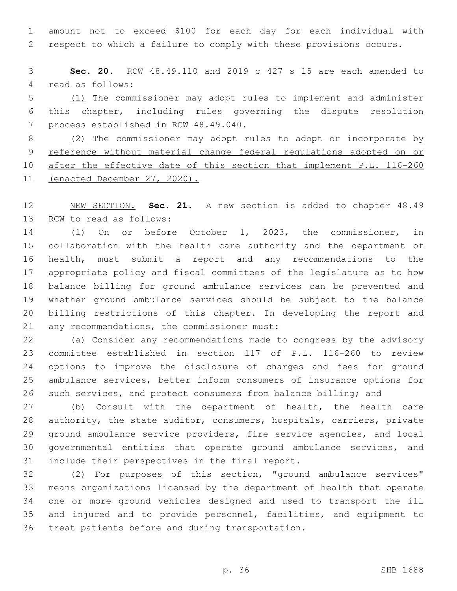amount not to exceed \$100 for each day for each individual with respect to which a failure to comply with these provisions occurs.

 **Sec. 20.** RCW 48.49.110 and 2019 c 427 s 15 are each amended to 4 read as follows:

 (1) The commissioner may adopt rules to implement and administer this chapter, including rules governing the dispute resolution 7 process established in RCW 48.49.040.

 (2) The commissioner may adopt rules to adopt or incorporate by 9 reference without material change federal regulations adopted on or 10 after the effective date of this section that implement P.L. 116-260 11 (enacted December 27, 2020).

 NEW SECTION. **Sec. 21.** A new section is added to chapter 48.49 13 RCW to read as follows:

 (1) On or before October 1, 2023, the commissioner, in collaboration with the health care authority and the department of health, must submit a report and any recommendations to the appropriate policy and fiscal committees of the legislature as to how balance billing for ground ambulance services can be prevented and whether ground ambulance services should be subject to the balance billing restrictions of this chapter. In developing the report and 21 any recommendations, the commissioner must:

 (a) Consider any recommendations made to congress by the advisory committee established in section 117 of P.L. 116-260 to review options to improve the disclosure of charges and fees for ground ambulance services, better inform consumers of insurance options for such services, and protect consumers from balance billing; and

 (b) Consult with the department of health, the health care authority, the state auditor, consumers, hospitals, carriers, private ground ambulance service providers, fire service agencies, and local governmental entities that operate ground ambulance services, and 31 include their perspectives in the final report.

 (2) For purposes of this section, "ground ambulance services" means organizations licensed by the department of health that operate one or more ground vehicles designed and used to transport the ill and injured and to provide personnel, facilities, and equipment to 36 treat patients before and during transportation.